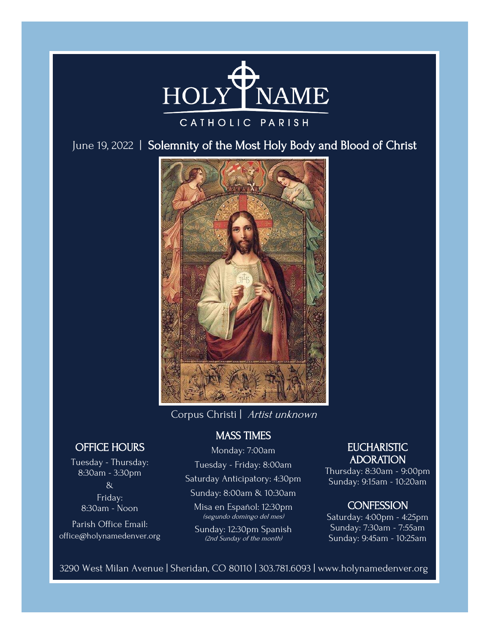

### CATHOLIC PARISH

June 19, 2022 | Solemnity of the Most Holy Body and Blood of Christ



Corpus Christi | Artist unknown

### MASS TIMES

Monday: 7:00am

Tuesday - Friday: 8:00am

Saturday Anticipatory: 4:30pm

Sunday: 8:00am & 10:30am

Misa en Español: 12:30pm (segundo domingo del mes)

Sunday: 12:30pm Spanish (2nd Sunday of the month)

# **EUCHARISTIC** ADORATION

Thursday: 8:30am - 9:00pm Sunday: 9:15am - 10:20am

# **CONFESSION**

Saturday: 4:00pm - 4:25pm Sunday: 7:30am - 7:55am Sunday: 9:45am - 10:25am

3290 West Milan Avenue | Sheridan, CO 80110 | 303.781.6093 | www.holynamedenver.org

# OFFICE HOURS

Tuesday - Thursday: 8:30am - 3:30pm & Friday: 8:30am - Noon

Parish Office Email: office@holynamedenver.org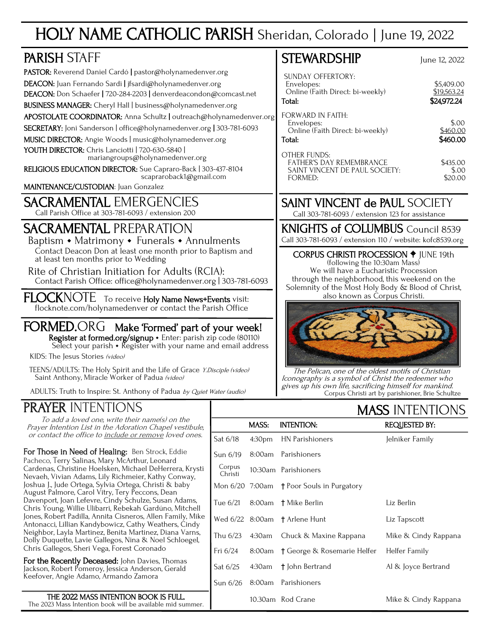# HOLY NAME CATHOLIC PARISH Sheridan, Colorado | June 19, 2022

| <b>PARISH STAFF</b>                                                                                                                                                                                                                                                                                                                                                                                                             | <b>STEWARDSHIP</b>                                                                                                                                                                                                           | June 12, 2022                                                 |  |
|---------------------------------------------------------------------------------------------------------------------------------------------------------------------------------------------------------------------------------------------------------------------------------------------------------------------------------------------------------------------------------------------------------------------------------|------------------------------------------------------------------------------------------------------------------------------------------------------------------------------------------------------------------------------|---------------------------------------------------------------|--|
| PASTOR: Reverend Daniel Cardó   pastor@holynamedenver.org<br>DEACON: Juan Fernando Sardi   jfsardi@holynamedenver.org<br>DEACON: Don Schaefer   720-284-2203   denverdeacondon@comcast.net<br>BUSINESS MANAGER: Cheryl Hall   business@holynamedenver.org                                                                                                                                                                       | <b>SUNDAY OFFERTORY:</b><br>Envelopes:<br>Online (Faith Direct: bi-weekly)<br>Total:                                                                                                                                         | \$5,409.00<br>\$19.563.24<br>\$24,972.24                      |  |
| APOSTOLATE COORDINATOR: Anna Schultz   outreach@holynamedenver.org<br>SECRETARY: Joni Sanderson   office@holynamedenver.org   303-781-6093<br>MUSIC DIRECTOR: Angie Woods   music@holynamedenver.org<br>YOUTH DIRECTOR: Chris Lanciotti   720-630-5840  <br>mariangroups@holynamedenver.org<br>RELIGIOUS EDUCATION DIRECTOR: Sue Capraro-Back   303-437-8104<br>scapraroback1@gmail.com<br>MAINTENANCE/CUSTODIAN: Juan Gonzalez | <b>FORWARD IN FAITH:</b><br>Envelopes:<br>Online (Faith Direct: bi-weekly)<br>Total:<br><b>OTHER FUNDS:</b><br>FATHER'S DAY REMEMBRANCE<br>SAINT VINCENT DE PAUL SOCIETY:<br>FORMED:                                         | \$.00<br>\$460.00<br>\$460.00<br>\$435.00<br>\$.00<br>\$20.00 |  |
| <b>SACRAMENTAL EMERGENCIES</b><br>Call Parish Office at 303-781-6093 / extension 200                                                                                                                                                                                                                                                                                                                                            | <b>SAINT VINCENT de PAUL SOCIETY</b><br>Call 303-781-6093 / extension 123 for assistance                                                                                                                                     |                                                               |  |
| <b>SACRAMENTAL PREPARATION</b><br>Baptism • Matrimony • Funerals • Annulments                                                                                                                                                                                                                                                                                                                                                   | <b>KNIGHTS of COLUMBUS</b> Council 8539<br>Call 303-781-6093 / extension 110 / website: kofc8539.org                                                                                                                         |                                                               |  |
| Contact Deacon Don at least one month prior to Baptism and<br>at least ten months prior to Wedding<br>Rite of Christian Initiation for Adults (RCIA):<br>Contact Parish Office: office@holynamedenver.org   303-781-6093                                                                                                                                                                                                        | <b>CORPUS CHRISTI PROCESSION + JUNE 19th</b><br>(following the 10:30am Mass)<br>We will have a Eucharistic Procession<br>through the neighborhood, this weekend on the<br>Solemnity of the Most Holy Body & Blood of Christ, |                                                               |  |
| FLOCKNOTE To receive Holy Name News+Events visit:<br>flocknote.com/holynamedenver or contact the Parish Office                                                                                                                                                                                                                                                                                                                  | also known as Corpus Christi.                                                                                                                                                                                                |                                                               |  |
| FORMED.ORG Make 'Formed' part of your week!<br>Register at formed.org/signup • Enter: parish zip code (80110)<br>Select your parish • Register with your name and email address<br>KIDS: The Jesus Stories (video)<br>TEENS/ADULTS: The Holy Spirit and the Life of Grace Y.Disciple (video)<br>Saint Anthony, Miracle Worker of Padua (video)<br>ADULTS: Truth to Inspire: St. Anthony of Padua by Quiet Water (audio)         | The Pelican, one of the oldest motifs of Christian<br>Iconography is a symbol of Christ the redeemer who<br>gives up his own life, sacrificing himself for mankind.                                                          |                                                               |  |

# PRAYER INTENTIONS

To add a loved one, write their name(s) on the Prayer Intention List in the Adoration Chapel vestibule, or contact the office to include or remove loved ones.

For Those in Need of Healing: Ben Strock, Eddie Pacheco, Terry Salinas, Mary McArthur, Leonard Cardenas, Christine Hoelsken, Michael DeHerrera, Krysti Nevaeh, Vivian Adams, Lily Richmeier, Kathy Conway, Joshua J., Jude Ortega, Sylvia Ortega, Christi & baby August Palmore, Carol Vitry, Tery Peccons, Dean Davenport, Joan Lefevre, Cindy Schulze, Susan Adams, Chris Young, Willie Ulibarri, Rebekah Gardúno, Mitchell Jones, Robert Padilla, Annita Cisneros, Allen Family, Mike Antonacci, Lillian Kandybowicz, Cathy Weathers, Cindy Neighbor, Layla Martinez, Benita Martinez, Diana Varns, Dolly Duquette, Lavie Gallegos, Nina & Noel Schloegel, Chris Gallegos, Sheri Vega, Forest Coronado

For the Recently Deceased: John Davies, Thomas Jackson, Robert Pomeroy, Jessica Anderson, Gerald Keefover, Angie Adamo, Armando Zamora

THE 2022 MASS INTENTION BOOK IS FULL. The 2023 Mass Intention book will be available mid summer. MASS INTENTIONS

| IT NI DI TILIH TILI UTIHU |        |                                           |                      |  |  |  |
|---------------------------|--------|-------------------------------------------|----------------------|--|--|--|
|                           | MASS:  | <b>INTENTION:</b>                         | <b>REQUESTED BY:</b> |  |  |  |
| Sat 6/18                  | 4:30pm | HN Parishioners                           | Jelniker Family      |  |  |  |
| Sun $6/19$                |        | 8:00am Parishioners                       |                      |  |  |  |
| Corpus<br>Christi         |        | 10:30am Parishioners                      |                      |  |  |  |
|                           |        | Mon 6/20 7:00am † Poor Souls in Purgatory |                      |  |  |  |
| Tue 6/21                  |        | 8:00am † Mike Berlin                      | Liz Berlin           |  |  |  |
|                           |        | Wed 6/22 8:00am † Arlene Hunt             | Liz Tapscott         |  |  |  |
| Thu 6/23                  | 4:30am | Chuck & Maxine Rappana                    | Mike & Cindy Rappana |  |  |  |
| Fri $6/24$                | 8:00am | † George & Rosemarie Helfer               | Helfer Family        |  |  |  |
| Sat 6/25                  | 4:30am | † John Bertrand                           | Al & Joyce Bertrand  |  |  |  |
| Sun $6/26$                | 8:00am | Parishioners                              |                      |  |  |  |
|                           |        | 10.30am Rod Crane                         | Mike & Cindy Rappana |  |  |  |